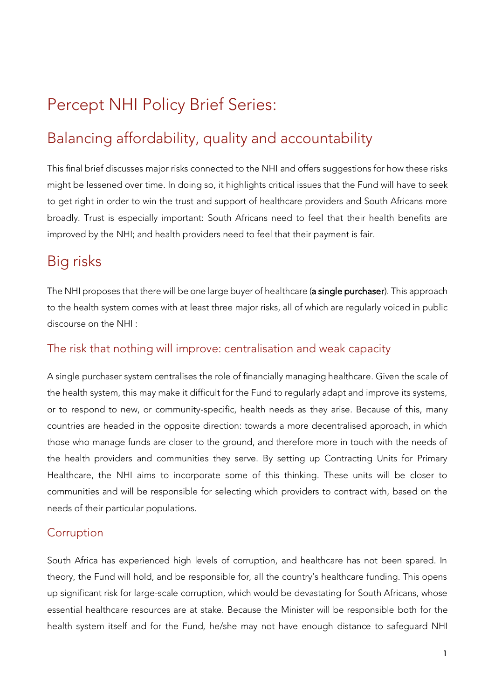# Percept NHI Policy Brief Series:

# Balancing affordability, quality and accountability

This final brief discusses major risks connected to the NHI and offers suggestions for how these risks might be lessened over time. In doing so, it highlights critical issues that the Fund will have to seek to get right in order to win the trust and support of healthcare providers and South Africans more broadly. Trust is especially important: South Africans need to feel that their health benefits are improved by the NHI; and health providers need to feel that their payment is fair.

## Big risks

The NHI proposes that there will be one large buyer of healthcare (a single purchaser). This approach to the health system comes with at least three major risks, all of which are regularly voiced in public discourse on the NHI :

### The risk that nothing will improve: centralisation and weak capacity

A single purchaser system centralises the role of financially managing healthcare. Given the scale of the health system, this may make it difficult for the Fund to regularly adapt and improve its systems, or to respond to new, or community-specific, health needs as they arise. Because of this, many countries are headed in the opposite direction: towards a more decentralised approach, in which those who manage funds are closer to the ground, and therefore more in touch with the needs of the health providers and communities they serve. By setting up Contracting Units for Primary Healthcare, the NHI aims to incorporate some of this thinking. These units will be closer to communities and will be responsible for selecting which providers to contract with, based on the needs of their particular populations.

### **Corruption**

South Africa has experienced high levels of corruption, and healthcare has not been spared. In theory, the Fund will hold, and be responsible for, all the country's healthcare funding. This opens up significant risk for large-scale corruption, which would be devastating for South Africans, whose essential healthcare resources are at stake. Because the Minister will be responsible both for the health system itself and for the Fund, he/she may not have enough distance to safeguard NHI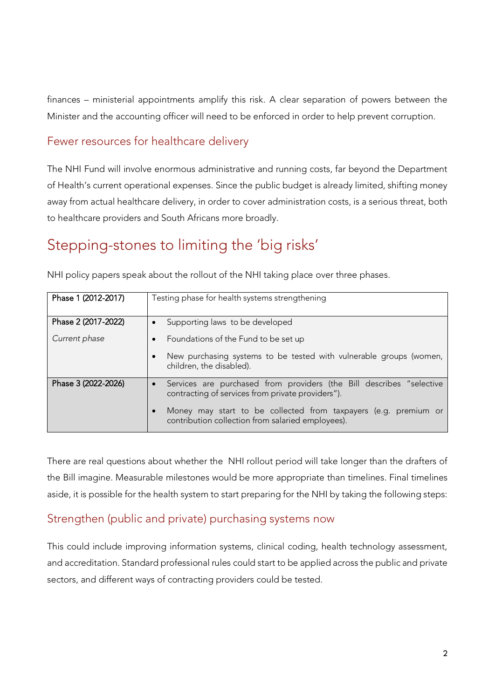finances – ministerial appointments amplify this risk. A clear separation of powers between the Minister and the accounting officer will need to be enforced in order to help prevent corruption.

#### Fewer resources for healthcare delivery

The NHI Fund will involve enormous administrative and running costs, far beyond the Department of Health's current operational expenses. Since the public budget is already limited, shifting money away from actual healthcare delivery, in order to cover administration costs, is a serious threat, both to healthcare providers and South Africans more broadly.

## Stepping-stones to limiting the 'big risks'

NHI policy papers speak about the rollout of the NHI taking place over three phases.

| Phase 1 (2012-2017) | Testing phase for health systems strengthening                                                                            |
|---------------------|---------------------------------------------------------------------------------------------------------------------------|
|                     |                                                                                                                           |
| Phase 2 (2017-2022) | Supporting laws to be developed                                                                                           |
| Current phase       | Foundations of the Fund to be set up                                                                                      |
|                     | New purchasing systems to be tested with vulnerable groups (women,<br>children, the disabled).                            |
| Phase 3 (2022-2026) | Services are purchased from providers (the Bill describes "selective<br>contracting of services from private providers"). |
|                     | Money may start to be collected from taxpayers (e.g. premium or<br>contribution collection from salaried employees).      |

There are real questions about whether the NHI rollout period will take longer than the drafters of the Bill imagine. Measurable milestones would be more appropriate than timelines. Final timelines aside, it is possible for the health system to start preparing for the NHI by taking the following steps:

### Strengthen (public and private) purchasing systems now

This could include improving information systems, clinical coding, health technology assessment, and accreditation. Standard professional rules could start to be applied across the public and private sectors, and different ways of contracting providers could be tested.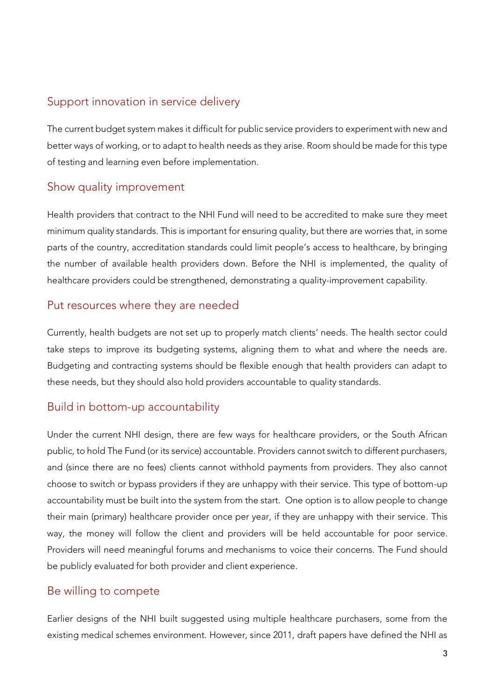### Support innovation in service delivery

The current budget system makes it difficult for public service providers to experiment with new and better ways of working, or to adapt to health needs as they arise. Room should be made for this type of testing and learning even before implementation.

### Show quality improvement

Health providers that contract to the NHI Fund will need to be accredited to make sure they meet minimum quality standards. This is important for ensuring quality, but there are worries that, in some parts of the country, accreditation standards could limit people's access to healthcare, by bringing the number of available health providers down. Before the NHI is implemented, the quality of healthcare providers could be strengthened, demonstrating a quality-improvement capability.

### Put resources where they are needed

Currently, health budgets are not set up to properly match clients' needs. The health sector could take steps to improve its budgeting systems, aligning them to what and where the needs are. Budgeting and contracting systems should be flexible enough that health providers can adapt to these needs, but they should also hold providers accountable to quality standards.

### Build in bottom-up accountability

Under the current NHI design, there are few ways for healthcare providers, or the South African public, to hold The Fund (or its service) accountable. Providers cannot switch to different purchasers, and (since there are no fees) clients cannot withhold payments from providers. They also cannot choose to switch or bypass providers if they are unhappy with their service. This type of bottom-up accountability must be built into the system from the start. One option is to allow people to change their main (primary) healthcare provider once per year, if they are unhappy with their service. This way, the money will follow the client and providers will be held accountable for poor service. Providers will need meaningful forums and mechanisms to voice their concerns. The Fund should be publicly evaluated for both provider and client experience.

### Be willing to compete

Earlier designs of the NHI built suggested using multiple healthcare purchasers, some from the existing medical schemes environment. However, since 2011, draft papers have defined the NHI as